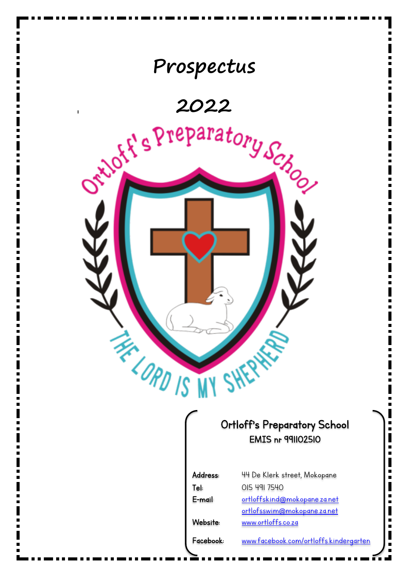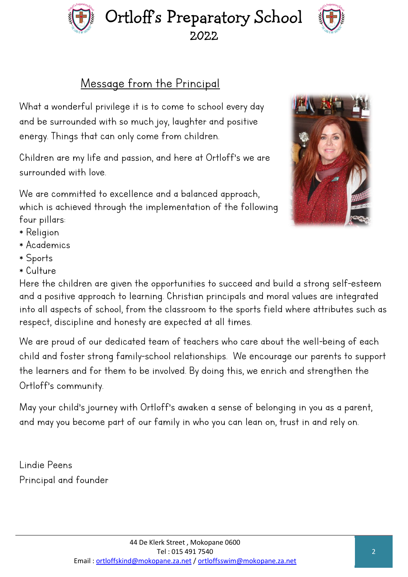## Message from the Principal

What a wonderful privilege it is to come to school every day and be surrounded with so much joy, laughter and positive energy. Things that can only come from children.

Children are my life and passion, and here at Ortloff's we are surrounded with love.

We are committed to excellence and a balanced approach, which is achieved through the implementation of the following four pillars:

- \* Religion
- \* Academics
- \* Sports
- \* Culture

Here the children are given the opportunities to succeed and build a strong self-esteem and a positive approach to learning. Christian principals and moral values are integrated into all aspects of school, from the classroom to the sports field where attributes such as respect, discipline and honesty are expected at all times.

We are proud of our dedicated team of teachers who care about the well-being of each child and foster strong family-school relationships. We encourage our parents to support the learners and for them to be involved. By doing this, we enrich and strengthen the Ortloff's community.

May your child"s journey with Ortloff"s awaken a sense of belonging in you as a parent, and may you become part of our family in who you can lean on, trust in and rely on.

Lindie Peens Principal and founder





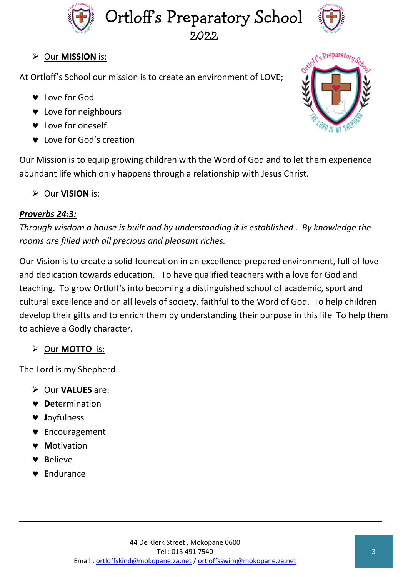



### Our **MISSION** is:

At Ortloff's School our mission is to create an environment of LOVE;

- **v** Love for God
- **v** Love for neighbours
- **v** Love for oneself
- **v** Love for God's creation

Our Mission is to equip growing children with the Word of God and to let them experience abundant life which only happens through a relationship with Jesus Christ.

Our **VISION** is:

### *Proverbs 24:3:*

*Through wisdom a house is built and by understanding it is established . By knowledge the rooms are filled with all precious and pleasant riches.*

Our Vision is to create a solid foundation in an excellence prepared environment, full of love and dedication towards education. To have qualified teachers with a love for God and teaching. To grow Ortloff's into becoming a distinguished school of academic, sport and cultural excellence and on all levels of society, faithful to the Word of God. To help children develop their gifts and to enrich them by understanding their purpose in this life To help them to achieve a Godly character.

Our **MOTTO** is:

The Lord is my Shepherd

- Our **VALUES** are:
- **D**etermination
- **J**oyfulness
- **E**ncouragement
- **M**otivation
- **B**elieve
- **E**ndurance

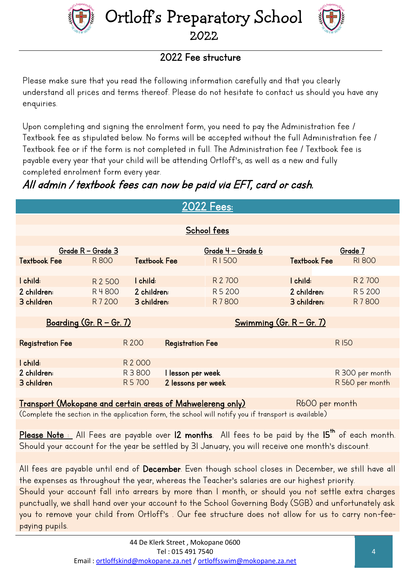



### 2022 Fee structure

Please make sure that you read the following information carefully and that you clearly understand all prices and terms thereof. Please do not hesitate to contact us should you have any enquiries.

Upon completing and signing the enrolment form, you need to pay the Administration fee / Textbook fee as stipulated below. No forms will be accepted without the full Administration fee / Textbook fee or if the form is not completed in full. The Administration fee / Textbook fee is payable every year that your child will be attending Ortloff's, as well as a new and fully completed enrolment form every year.

## All admin / textbook fees can now be paid via EFT, card or cash.

| <u> 2022 Fees:</u>                                                                  |         |                     |                         |         |                     |                 |  |  |
|-------------------------------------------------------------------------------------|---------|---------------------|-------------------------|---------|---------------------|-----------------|--|--|
|                                                                                     |         |                     |                         |         |                     |                 |  |  |
|                                                                                     |         |                     |                         |         |                     |                 |  |  |
| School fees                                                                         |         |                     |                         |         |                     |                 |  |  |
|                                                                                     |         |                     |                         |         |                     |                 |  |  |
| Grade R - Grade 3                                                                   |         | Grade 4 - Grade 6   |                         | Grade 7 |                     |                 |  |  |
| <b>Textbook Fee</b>                                                                 | R800    | <b>Textbook Fee</b> |                         | R1500   | <b>Textbook Fee</b> | <b>RI 800</b>   |  |  |
|                                                                                     |         |                     |                         |         |                     |                 |  |  |
| I child:                                                                            | R 2 500 | I child:            |                         | R 2 700 | I child:            | R 2 700         |  |  |
| 2 children:                                                                         | R 4800  | 2 children:         |                         | R 5 200 | 2 children:         | R 5 200         |  |  |
| 3 children                                                                          | R 7 200 | 3 children:         |                         | R 7800  | 3 children:         | R 7800          |  |  |
|                                                                                     |         |                     |                         |         |                     |                 |  |  |
| <u>Boarding (Gr. R – Gr. 7)</u><br><u>Swimming (Gr. <math>R - Gr. 7</math>)</u>     |         |                     |                         |         |                     |                 |  |  |
|                                                                                     |         |                     |                         |         |                     |                 |  |  |
| <b>Registration Fee</b>                                                             |         | R 200               | <b>Registration Fee</b> |         |                     | <b>RI50</b>     |  |  |
|                                                                                     |         |                     |                         |         |                     |                 |  |  |
| I child:                                                                            |         | R 2 000             |                         |         |                     |                 |  |  |
| 2 children:                                                                         |         | R 3 800             | I lesson per week       |         |                     | R 300 per month |  |  |
| 3 children                                                                          |         | R 5 700             | 2 lessons per week      |         |                     | R 560 per month |  |  |
|                                                                                     |         |                     |                         |         |                     |                 |  |  |
| <u>Transport (Mokopane and certain areas of Mahwelereng only)</u><br>R600 per month |         |                     |                         |         |                     |                 |  |  |

(Complete the section in the application form, the school will notify you if transport is available)

<u>Please Note :</u> All Fees are payable over **12 months**. All fees to be paid by the **I5<sup>th</sup> of each month.** Should your account for the year be settled by 31 January, you will receive one month's discount.

All fees are payable until end of December. Even though school closes in December, we still have all the expenses as throughout the year, whereas the Teacher's salaries are our highest priority.

Should your account fall into arrears by more than 1 month, or should you not settle extra charges punctually, we shall hand over your account to the School Governing Body (SGB) and unfortunately ask you to remove your child from Ortloff's . Our fee structure does not allow for us to carry non-feepaying pupils.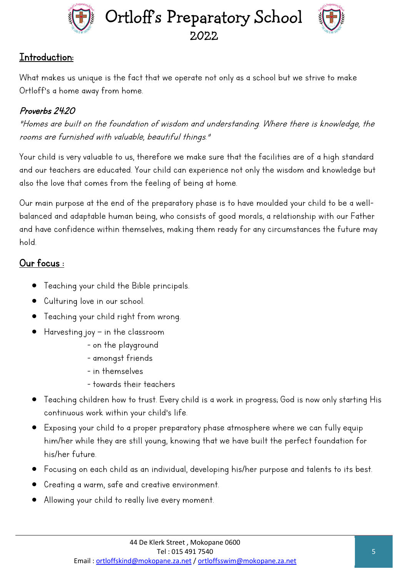



### Introduction:

What makes us unique is the fact that we operate not only as a school but we strive to make Ortloff's a home away from home.

### Proverbs 24:20

"Homes are built on the foundation of wisdom and understanding. Where there is knowledge, the rooms are furnished with valuable, beautiful things."

Your child is very valuable to us, therefore we make sure that the facilities are of a high standard and our teachers are educated. Your child can experience not only the wisdom and knowledge but also the love that comes from the feeling of being at home.

Our main purpose at the end of the preparatory phase is to have moulded your child to be a wellbalanced and adaptable human being, who consists of good morals, a relationship with our Father and have confidence within themselves, making them ready for any circumstances the future may hold.

### Our focus :

- Teaching your child the Bible principals.
- Culturing love in our school.
- Teaching your child right from wrong.
- Harvesting joy in the classroom
	- on the playground
	- amongst friends
	- in themselves
	- towards their teachers
- Teaching children how to trust. Every child is a work in progress; God is now only starting His continuous work within your child's life.
- Exposing your child to a proper preparatory phase atmosphere where we can fully equip him/her while they are still young, knowing that we have built the perfect foundation for his/her future.
- Focusing on each child as an individual, developing his/her purpose and talents to its best.
- Creating a warm, safe and creative environment.
- Allowing your child to really live every moment.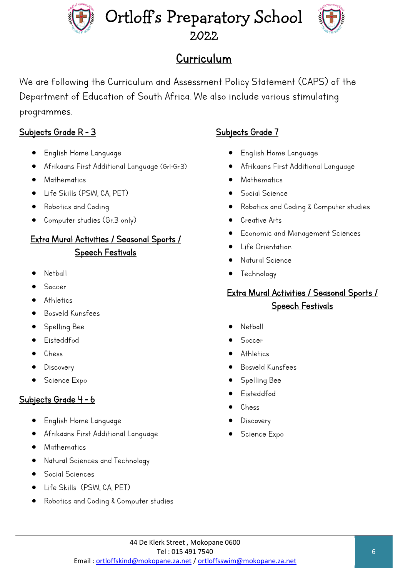

# Curriculum

We are following the Curriculum and Assessment Policy Statement (CAPS) of the Department of Education of South Africa. We also include various stimulating programmes.

### Subjects Grade R - 3

- English Home Language
- Afrikaans First Additional Language (Gr1-Gr.3)
- **Mathematics**
- Life Skills (PSW, CA, PET)
- Robotics and Coding
- Computer studies (Gr.3 only)

### Extra Mural Activities / Seasonal Sports / Speech Festivals

- Netball
- Soccer
- **Athletics**
- Bosveld Kunsfees
- Spelling Bee
- Eisteddfod
- Chess
- **Discovery**
- Science Expo

### Subjects Grade 4 - 6

- English Home Language
- Afrikaans First Additional Language
- Mathematics
- Natural Sciences and Technology
- Social Sciences
- Life Skills (PSW, CA, PET)
- Robotics and Coding & Computer studies

### Subjects Grade 7

- English Home Language
- Afrikaans First Additional Language
- **Mathematics**
- Social Science
- Robotics and Coding & Computer studies
- Creative Arts
- Economic and Management Sciences
- Life Orientation
- Natural Science
- **Technology**

### Extra Mural Activities / Seasonal Sports / Speech Festivals

- **Netball**
- Soccer
- **Athletics**
- Bosveld Kunsfees
- Spelling Bee
- Eisteddfod
- Chess
- **Discovery**
- Science Expo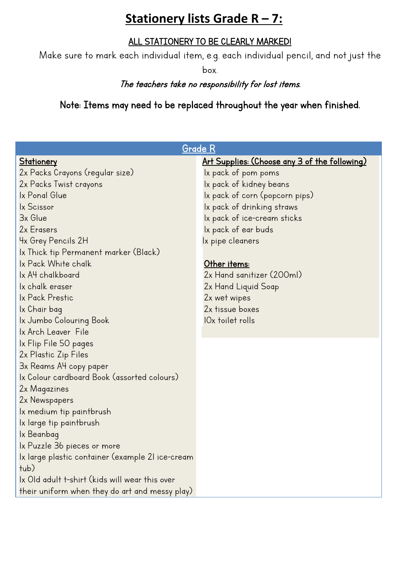## **Stationery lists Grade R – 7:**

### ALL STATIONERY TO BE CLEARLY MARKED!

Make sure to mark each individual item, e.g. each individual pencil, and not just the

box.

### The teachers take no responsibility for lost items.

Note: Items may need to be replaced throughout the year when finished.

| <b>Grade R</b>                                   |                                                      |  |  |  |  |
|--------------------------------------------------|------------------------------------------------------|--|--|--|--|
| <b>Stationery</b>                                | <u>Art Supplies: (Choose any 3 of the following)</u> |  |  |  |  |
| 2x Packs Crayons (regular size)                  | Ix pack of pom poms                                  |  |  |  |  |
| 2x Packs Twist crayons                           | Ix pack of kidney beans                              |  |  |  |  |
| Ix Ponal Glue                                    | Ix pack of corn (popcorn pips)                       |  |  |  |  |
| Ix Scissor                                       | Ix pack of drinking straws                           |  |  |  |  |
| 3x Glue                                          | Ix pack of ice-cream sticks                          |  |  |  |  |
| 2x Erasers                                       | Ix pack of ear buds                                  |  |  |  |  |
| 4x Grey Pencils 2H                               | Ix pipe cleaners                                     |  |  |  |  |
| lx Thick tip Permanent marker (Black)            |                                                      |  |  |  |  |
| Ix Pack White chalk                              | Other items:                                         |  |  |  |  |
| Ix A4 chalkboard                                 | 2x Hand sanitizer (200ml)                            |  |  |  |  |
| Ix chalk eraser                                  | 2x Hand Liquid Soap                                  |  |  |  |  |
| Ix Pack Prestic                                  | 2x wet wipes                                         |  |  |  |  |
| Ix Chair bag                                     | 2x tissue boxes                                      |  |  |  |  |
| Ix Jumbo Colouring Book                          | IO <sub>x</sub> toilet rolls                         |  |  |  |  |
| Ix Arch Leaver File                              |                                                      |  |  |  |  |
| Ix Flip File 50 pages                            |                                                      |  |  |  |  |
| 2x Plastic Zip Files                             |                                                      |  |  |  |  |
| 3x Reams A4 copy paper                           |                                                      |  |  |  |  |
| Ix Colour cardboard Book (assorted colours)      |                                                      |  |  |  |  |
| 2x Magazines                                     |                                                      |  |  |  |  |
| 2x Newspapers                                    |                                                      |  |  |  |  |
| Ix medium tip paintbrush                         |                                                      |  |  |  |  |
| Ix large tip paintbrush                          |                                                      |  |  |  |  |
| Ix Beanbag                                       |                                                      |  |  |  |  |
| Ix Puzzle 36 pieces or more                      |                                                      |  |  |  |  |
| Ix large plastic container (example 21 ice-cream |                                                      |  |  |  |  |
| tub)                                             |                                                      |  |  |  |  |
| Ix Old adult t-shirt (kids will wear this over   |                                                      |  |  |  |  |
| their uniform when they do art and messy play)   |                                                      |  |  |  |  |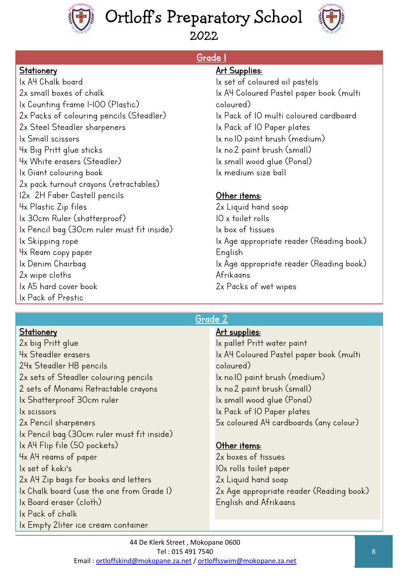



2022

Grade 1

### **Stationery**

### 1x A4 Chalk board 2x small boxes of chalk 1x Counting frame 1-100 (Plastic) 2x Packs of colouring pencils (Steadler) 2x Steel Steadler sharpeners 1x Small scissors 4x Big Pritt glue sticks 4x White erasers (Steadler) 1x Giant colouring book 2x pack turnout crayons (retractables) 12x 2H Faber Castell pencils 4x Plastic Zip files 1x 30cm Ruler (shatterproof) 1x Pencil bag (30cm ruler must fit inside) 1x Skipping rope 4x Ream copy paper 1x Denim Chairbag 2x wipe cloths 1x A5 hard cover book 1x Pack of Prestic

1x Empty 2liter ice cream container.

٦

### **Art Supplies:**

1x set of coloured oil pastels 1x A4 Coloured Pastel paper book (multi coloured) 1x Pack of 10 multi coloured cardboard 1x Pack of 10 Paper plates 1x no.10 paint brush (medium) 1x no.2 paint brush (small) 1x small wood glue (Ponal) 1x medium size ball

### Other items:

2x Liquid hand soap 10 x toilet rolls 1x box of tissues 1x Age appropriate reader (Reading book) English 1x Age appropriate reader (Reading book) Afrikaans 2x Packs of wet wipes

### Grade 2

| Stationery                                 | <u>Art supplies:</u>                     |
|--------------------------------------------|------------------------------------------|
| 2x big Pritt glue                          | Ix pallet Pritt water paint              |
| 4x Steadler erasers                        | Ix A4 Coloured Pastel paper book (multi  |
| 24x Steadler HB pencils                    | coloured)                                |
| 2x sets of Steadler colouring pencils      | Ix no.10 paint brush (medium)            |
| 2 sets of Monami Retractable crayons       | Ix no.2 paint brush (small)              |
| Ix Shatterproof 30cm ruler                 | Ix small wood glue (Ponal)               |
| <i>x</i> scissors                          | Ix Pack of IO Paper plates               |
| 2x Pencil sharpeners                       | 5x coloured A4 cardboards (any colour)   |
| Ix Pencil bag (30cm ruler must fit inside) |                                          |
| Ix A4 Flip file (50 pockets)               | Other items:                             |
| 4x A4 reams of paper                       | 2x boxes of tissues                      |
| Ix set of koki's                           | IOx rolls toilet paper                   |
| 2x A4 Zip bags for books and letters       | 2x Liquid hand soap                      |
| Ix Chalk board (use the one from Grade I)  | 2x Age appropriate reader (Reading book) |
| Ix Board eraser (cloth)                    | English and Afrikaans                    |
| Ix Pack of chalk                           |                                          |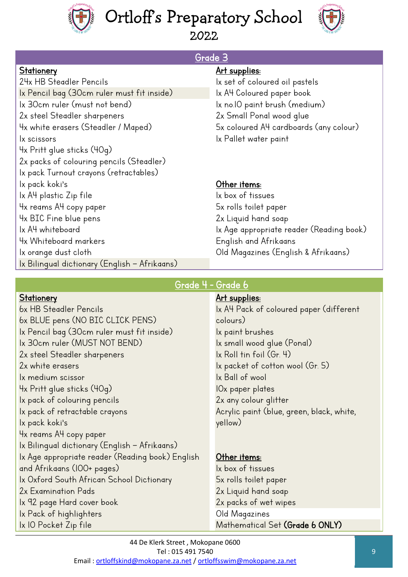



Grade 3

#### **Stationery**

24x HB Steadler Pencils 1x Pencil bag (30cm ruler must fit inside) 1x 30cm ruler (must not bend) 2x steel Steadler sharpeners 4x white erasers (Steadler / Maped) 1x scissors 4x Pritt glue sticks (40g) 2x packs of colouring pencils (Steadler) 1x pack Turnout crayons (retractables) Ix pack koki's 1x A4 plastic Zip file 4x reams A4 copy paper 4x BIC Fine blue pens 1x A4 whiteboard 4x Whiteboard markers 1x orange dust cloth 1x Bilingual dictionary (English – Afrikaans)

### Art supplies:

1x set of coloured oil pastels 1x A4 Coloured paper book 1x no.10 paint brush (medium) 2x Small Ponal wood glue 5x coloured A4 cardboards (any colour) 1x Pallet water paint

### Other items:

1x box of tissues 5x rolls toilet paper 2x Liquid hand soap 1x Age appropriate reader (Reading book) English and Afrikaans Old Magazines (English & Afrikaans) l

### Grade 4 - Grade 6

### **Stationery**

6x HB Steadler Pencils 6x BLUE pens (NO BIC CLICK PENS) 1x Pencil bag (30cm ruler must fit inside) 1x 30cm ruler (MUST NOT BEND) 2x steel Steadler sharpeners 2x white erasers 1x medium scissor 4x Pritt glue sticks (40g) 1x pack of colouring pencils 1x pack of retractable crayons lx pack koki's 4x reams A4 copy paper 1x Bilingual dictionary (English – Afrikaans) 1x Age appropriate reader (Reading book) English and Afrikaans (100+ pages) 1x Oxford South African School Dictionary 2x Examination Pads 1x 92 page Hard cover book 1x Pack of highlighters 1x 10 Pocket Zip file

### Art supplies:

1x A4 Pack of coloured paper (different colours) 1x paint brushes 1x small wood glue (Ponal) 1x Roll tin foil (Gr. 4) 1x packet of cotton wool (Gr. 5) 1x Ball of wool 10x paper plates 2x any colour glitter Acrylic paint (blue, green, black, white, yellow)

## Other items:

1x box of tissues 5x rolls toilet paper 2x Liquid hand soap 2x packs of wet wipes Old Magazines Mathematical Set (Grade 6 ONLY)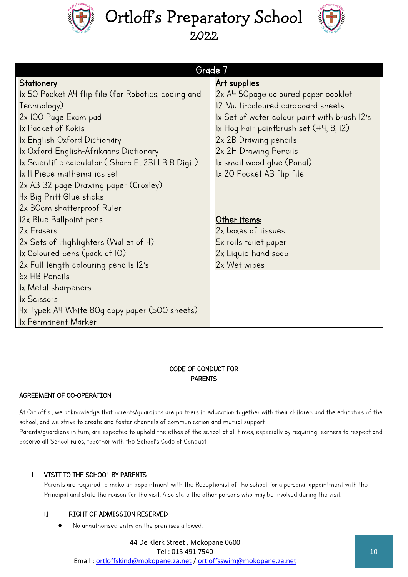



|                                                     | <u>Grade 7</u>                               |
|-----------------------------------------------------|----------------------------------------------|
| <u>Stationery</u>                                   | <u>Art supplies:</u>                         |
| lx 50 Pocket A4 flip file (for Robotics, coding and | 2x A4 50 page coloured paper booklet         |
| Technology)                                         | 12 Multi-coloured cardboard sheets           |
| 2x 100 Page Exam pad                                | Ix Set of water colour paint with brush I2's |
| Ix Packet of Kokis                                  | Ix Hog hair paintbrush set (#4, 8, 12)       |
| Ix English Oxford Dictionary                        | 2x 2B Drawing pencils                        |
| Ix Oxford English-Afrikaans Dictionary              | 2x 2H Drawing Pencils                        |
| lx Scientific calculator ( Sharp EL23I LB 8 Digit)  | Ix small wood glue (Ponal)                   |
| Ix II Piece mathematics set                         | Ix 20 Pocket A3 flip file                    |
| 2x A3 32 page Drawing paper (Croxley)               |                                              |
| 4x Big Pritt Glue sticks                            |                                              |
| 2x 30cm shatterproof Ruler                          |                                              |
| 12x Blue Ballpoint pens                             | Other items:                                 |
| 2x Erasers                                          | 2x boxes of tissues                          |
| 2x Sets of Highlighters (Wallet of 4)               | 5x rolls toilet paper                        |
| Ix Coloured pens (pack of IO)                       | 2x Liquid hand soap                          |
| 2x Full length colouring pencils 12's               | 2x Wet wipes                                 |
| 6x HB Pencils                                       |                                              |
| Ix Metal sharpeners                                 |                                              |
| Ix Scissors                                         |                                              |
| 4x Typek A4 White 80g copy paper (500 sheets)       |                                              |
| Ix Permanent Marker                                 |                                              |

#### CODE OF CONDUCT FOR PARENTS

#### AGREEMENT OF CO-OPERATION:

At Ortloff's , we acknowledge that parents/guardians are partners in education together with their children and the educators of the school, and we strive to create and foster channels of communication and mutual support. Parents/guardians in turn, are expected to uphold the ethos of the school at all times, especially by requiring learners to respect and observe all School rules, together with the School's Code of Conduct.

#### 1. VISIT TO THE SCHOOL BY PARENTS

Parents are required to make an appointment with the Receptionist of the school for a personal appointment with the Principal and state the reason for the visit. Also state the other persons who may be involved during the visit.

#### 1.1 RIGHT OF ADMISSION RESERVED

No unauthorised entry on the premises allowed.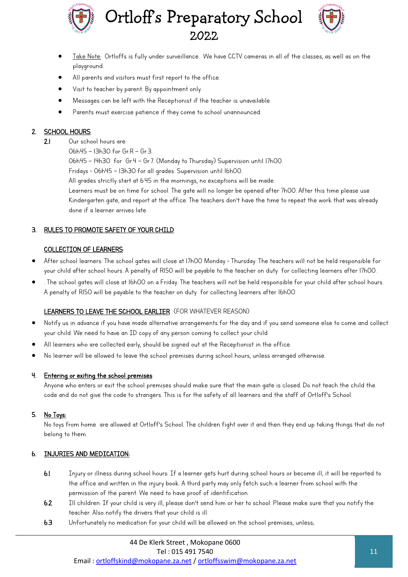



- Take Note: Ortloffs is fully under surveillance. We have CCTV cameras in all of the classes, as well as on the playground.
- All parents and visitors must first report to the office.
- Visit to teacher by parent: By appointment only.
- Messages can be left with the Receptionist if the teacher is unavailable.
- Parents must exercise patience if they come to school unannounced.

#### 2. SCHOOL HOURS

- 2.1 Our school hours are:
	- 06h45 13h30 for Gr.R Gr.3.

06h45 – 14h30 for Gr.4 – Gr.7. (Monday to Thursday) Supervision until 17h00.

Fridays - 06h45 – 13h30 for all grades. Supervision until 16h00.

All grades strictly start at 6:45 in the mornings, no exceptions will be made.

Learners must be on time for school. The gate will no longer be opened after 7h00. After this time please use Kindergarten gate, and report at the office. The teachers don't have the time to repeat the work that was already done if a learner arrives late.

#### 3. RULES TO PROMOTE SAFETY OF YOUR CHILD

#### COLLECTION OF LEARNERS:

- After school learners: The school gates will close at 17h00 Monday Thursday. The teachers will not be held responsible for your child after school hours. A penalty of R150 will be payable to the teacher on duty for collecting learners after 17h00.
- . The school gates will close at 16h00 on a Friday. The teachers will not be held responsible for your child after school hours. A penalty of R150 will be payable to the teacher on duty for collecting learners after 16h00.

#### LEARNERS TO LEAVE THE SCHOOL EARLIER (FOR WHATEVER REASON)

- Notify us in advance if you have made alternative arrangements for the day and if you send someone else to come and collect your child. We need to have an ID copy of any person coming to collect your child.
- All learners who are collected early, should be signed out at the Receptionist in the office.
- No learner will be allowed to leave the school premises during school hours, unless arranged otherwise.

#### 4. Entering or exiting the school premises:

Anyone who enters or exit the school premises should make sure that the main gate is closed. Do not teach the child the code and do not give the code to strangers. This is for the safety of all learners and the staff of Ortloff's School.

#### 5. No Toys:

No toys from home are allowed at Ortloff's School. The children fight over it and then they end up taking things that do not belong to them.

#### 6. INJURIES AND MEDICATION:

- 6.1 Injury or illness during school hours: If a learner gets hurt during school hours or become ill, it will be reported to the office and written in the injury book. A third party may only fetch such a learner from school with the permission of the parent. We need to have proof of identification.
- 6.2 Ill children: If your child is very ill, please don't send him or her to school. Please make sure that you notify the teacher. Also notify the drivers that your child is ill.
- 6.3 Unfortunately no medication for your child will be allowed on the school premises, unless;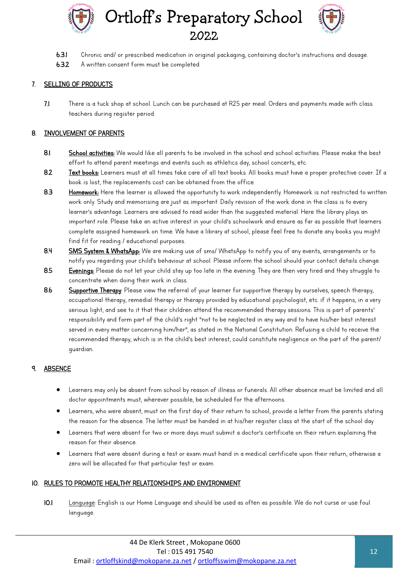



- 6.3.1 Chronic and/ or prescribed medication in original packaging, containing doctor's instructions and dosage.
- 6.3.2 A written consent form must be completed.

#### 7. SELLING OF PRODUCTS

7.1 There is a tuck shop at school. Lunch can be purchased at R25 per meal. Orders and payments made with class teachers during register period.

#### 8. INVOLVEMENT OF PARENTS

- 8.1 School activities: We would like all parents to be involved in the school and school activities. Please make the best effort to attend parent meetings and events such as athletics day, school concerts, etc.
- 8.2 Text books: Learners must at all times take care of all text books. All books must have a proper protective cover. If a book is lost, the replacements cost can be obtained from the office.
- 8.3 Homework: Here the learner is allowed the opportunity to work independently. Homework is not restricted to written work only. Study and memorising are just as important. Daily revision of the work done in the class is to every legrner's gdvantage. Legrners gre gdvised to regd wider than the suggested material. Here the library plgys an important role. Please take an active interest in your child's schoolwork and ensure as far as possible that learners complete assigned homework on time. We have a library at school, please feel free to donate any books you might find fit for reading / educational purposes.
- 8.4 SMS System & WhatsApp: We are making use of sms/ WhatsApp to notify you of any events, arrangements or to notify you regarding your child's behaviour at school. Please inform the school should your contact details change.
- 8.5 Evenings: Please do not let your child stay up too late in the evening. They are then very tired and they struggle to concentrate when doing their work in class.
- 8.6 Supportive Therapy: Please view the referral of your learner for supportive therapy by ourselves, speech therapy, occupational therapy, remedial therapy or therapy provided by educational psychologist, etc. if it happens, in a very serious light, and see to it that their children attend the recommended therapy sessions. This is part of parents' responsibility and form part of the child's right "not to be neglected in any way and to have his/her best interest served in every matter concerning him/her", as stated in the National Constitution. Refusing a child to receive the recommended therapy, which is in the child's best interest, could constitute negligence on the part of the parent/ guardian.

#### 9. ABSENCE

- Learners may only be absent from school by reason of illness or funerals. All other absence must be limited and all doctor appointments must, wherever possible, be scheduled for the afternoons.
- Learners, who were absent, must on the first day of their return to school, provide a letter from the parents stating the reason for the absence. The letter must be handed in at his/her register class at the start of the school day
- Learners that were absent for two or more days must submit a doctor's certificate on their return explaining the reason for their absence.
- Learners that were absent during a test or exam must hand in a medical certificate upon their return, otherwise a zero will be allocated for that particular test or exam.

#### 10. RULES TO PROMOTE HEALTHY RELATIONSHIPS AND ENVIRONMENT

10.1 Language: English is our Home Language and should be used as often as possible. We do not curse or use foul language.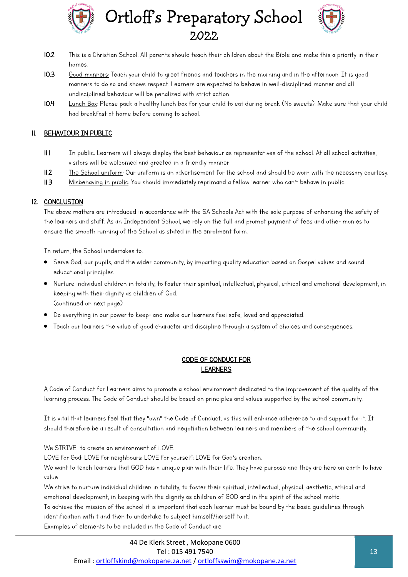



- 10.2 This is a Christian School. All parents should teach their children about the Bible and make this a priority in their homes.
- 10.3 Good manners: Teach your child to greet friends and teachers in the morning and in the afternoon. It is good manners to do so and shows respect. Learners are expected to behave in well-disciplined manner and all undisciplined behaviour will be penalized with strict action.
- 10.4 Lunch Box: Please pack a healthy lunch box for your child to eat during break (No sweets). Make sure that your child had breakfast at home before coming to school.

#### 11. BEHAVIOUR IN PUBLIC

- $II.1$  In public: Learners will always display the best behaviour as representatives of the school. At all school activities, visitors will be welcomed and greeted in a friendly manner
- 11.2 The School uniform: Our uniform is an advertisement for the school and should be worn with the necessary courtesy.
- 11.3 Misbehaving in public: You should immediately reprimand a fellow learner who can't behave in public.

#### 12. CONCLUSION

The above matters are introduced in accordance with the SA Schools Act with the sole purpose of enhancing the safety of the learners and staff. As an Independent School, we rely on the full and prompt payment of fees and other monies to ensure the smooth running of the School as stated in the enrolment form.

In return, the School undertakes to:

- Serve God, our pupils, and the wider community, by imparting quality education based on Gospel values and sound educational principles.
- Nurture individual children in totality, to foster their spiritual, intellectual, physical, ethical and emotional development, in keeping with their dignity as children of God. (continued on next page)
- Do everything in our power to keep- and make our learners feel safe, loved and appreciated.
- Teach our learners the value of good character and discipline through a system of choices and consequences.

#### CODE OF CONDUCT FOR LEARNERS

A Code of Conduct for Learners aims to promote a school environment dedicated to the improvement of the quality of the learning process. The Code of Conduct should be based on principles and values supported by the school community.

It is vital that learners feel that they "own" the Code of Conduct, as this will enhance adherence to and support for it. It should therefore be a result of consultation and negotiation between learners and members of the school community.

We STRIVE to create an environment of LOVE.

LOVE for God; LOVE for neighbours; LOVE for yourself; LOVE for God's creation.

We want to teach learners that GOD has a unique plan with their life. They have purpose and they are here on earth to have value.

We strive to nurture individual children in totality, to foster their spiritual, intellectual, physical, aesthetic, ethical and emotional development, in keeping with the dignity as children of GOD and in the spirit of the school motto. To achieve the mission of the school it is important that each learner must be bound by the basic guidelines through identification with t and then to undertake to subject himself/herself to it.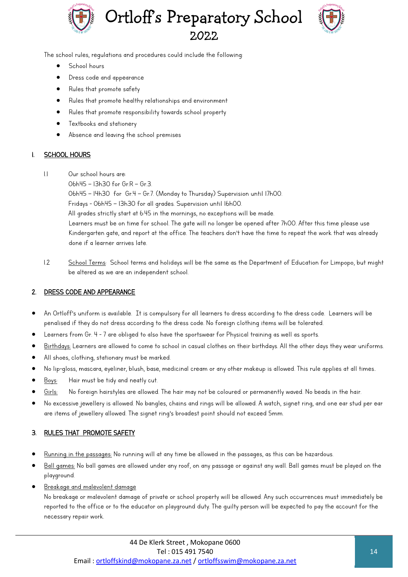



The school rules, regulations and procedures could include the following:

- **School hours**
- Dress code and appearance
- Rules that promote safety
- Rules that promote healthy relationships and environment
- Rules that promote responsibility towards school property
- Textbooks and stationery
- Absence and leaving the school premises

#### SCHOOL HOURS

- 1.1 Our school hours are:
	- 06h45 13h30 for Gr.R Gr.3.

06h45 – 14h30 for Gr.4 – Gr.7. (Monday to Thursday) Supervision until 17h00.

Fridays - 06h45 – 13h30 for all grades. Supervision until 16h00.

All grades strictly start at 6:45 in the mornings, no exceptions will be made.

Learners must be on time for school. The gate will no longer be opened after 7h00. After this time please use Kindergarten gate, and report at the office. The teachers don't have the time to repeat the work that was already done if a learner arrives late.

1.2 School Terms: School terms and holidays will be the same as the Department of Education for Limpopo, but might be altered as we are an independent school.

#### 2. DRESS CODE AND APPEARANCE

- An Ortloff's uniform is available. It is compulsory for all learners to dress according to the dress code. Learners will be penalised if they do not dress according to the dress code. No foreign clothing items will be tolerated.
- Learners from Gr. 4 7 are obliged to also have the sportswear for Physical training as well as sports.
- Birthdays: Learners are allowed to come to school in casual clothes on their birthdays. All the other days they wear uniforms.
- All shoes, clothing, stationary must be marked.
- No lip-gloss, mascara, eyeliner, blush, base, medicinal cream or any other makeup is allowed. This rule applies at all times..
- Boys: Hair must be tidy and neatly cut.
- Girls: No foreign hairstyles are allowed. The hair may not be coloured or permanently waved. No beads in the hair.
- No excessive jewellery is allowed. No bangles, chains and rings will be allowed. A watch, signet ring, and one ear stud per ear are items of jewellery allowed. The signet ring's broadest point should not exceed 5mm.

#### 3. RULES THAT PROMOTE SAFETY

- Running in the passages: No running will at any time be allowed in the passages, as this can be hazardous.
- Ball games: No ball games are allowed under any roof, on any passage or against any wall. Ball games must be played on the playground.
- Breakage and malevolent damage

No breakage or malevolent damage of private or school property will be allowed. Any such occurrences must immediately be reported to the office or to the educator on playground duty. The guilty person will be expected to pay the account for the necessary repair work.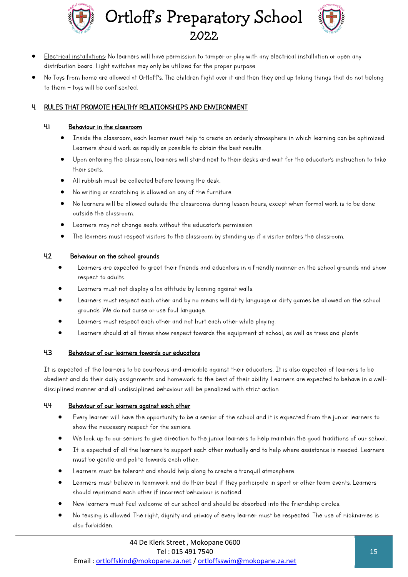



- Electrical installations: No learners will have permission to tamper or play with any electrical installation or open any distribution board. Light switches may only be utilized for the proper purpose.
- No Toys from home are allowed at Ortloff's. The children fight over it and then they end up taking things that do not belong to them – toys will be confiscated.

#### 4. RULES THAT PROMOTE HEALTHY RELATIONSHIPS AND ENVIRONMENT

#### 4.1 Behaviour in the classroom

- Inside the classroom, each learner must help to create an orderly atmosphere in which learning can be optimized. Learners should work as rapidly as possible to obtain the best results..
- Upon entering the classroom, learners will stand next to their desks and wait for the educator's instruction to take their seats.
- All rubbish must be collected before leaving the desk.
- No writing or scratching is allowed on any of the furniture.
- No learners will be allowed outside the classrooms during lesson hours, except when formal work is to be done outside the classroom.
- Legrners may not change segts without the educator's permission.
- The learners must respect visitors to the classroom by standing up if a visitor enters the classroom.

#### 4.2 Behaviour on the school grounds

- Learners are expected to greet their friends and educators in a friendly manner on the school grounds and show respect to adults.
- Learners must not display a lax attitude by leaning against walls.
- Learners must respect each other and by no means will dirty language or dirty games be allowed on the school grounds. We do not curse or use foul language.
- Learners must respect each other and not hurt each other while playing.
- Learners should at all times show respect towards the equipment at school, as well as trees and plants

#### 4.3 Behaviour of our learners towards our educators

It is expected of the learners to be courteous and amicable against their educators. It is also expected of learners to be obedient and do their daily assignments and homework to the best of their ability. Learners are expected to behave in a welldisciplined manner and all undisciplined behaviour will be penalized with strict action.

#### 4.4 Behaviour of our learners against each other

- Every learner will have the opportunity to be a senior of the school and it is expected from the junior learners to show the necessary respect for the seniors.
- We look up to our seniors to give direction to the junior learners to help maintain the good traditions of our school.
- It is expected of all the learners to support each other mutually and to help where assistance is needed. Learners must be gentle and polite towards each other.
- Learners must be tolerant and should help along to create a tranquil atmosphere.
- Learners must believe in teamwork and do their best if they participate in sport or other team events. Learners should reprimand each other if incorrect behaviour is noticed.
- New learners must feel welcome at our school and should be absorbed into the friendship circles.
- No teasing is allowed. The right, dignity and privacy of every learner must be respected. The use of nicknames is also forbidden.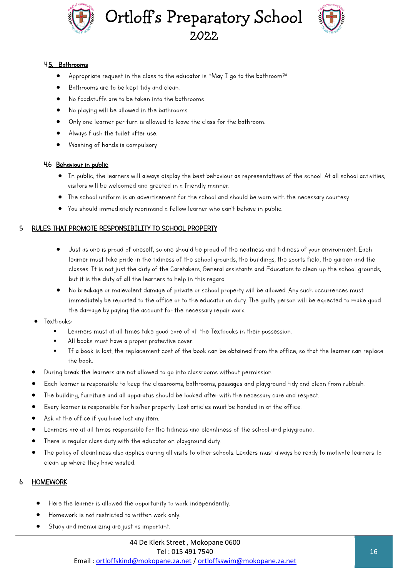



#### 4.5. Bathrooms

- Appropriate request in the class to the educator is: "May I go to the bathroom?"
- Bathrooms are to be kept tidy and clean.
- No foodstuffs are to be taken into the bathrooms.
- No playing will be allowed in the bathrooms.
- Only one learner per turn is allowed to leave the class for the bathroom.
- Always flush the toilet after use.
- Washing of hands is compulsory

#### 4.6 Behaviour in public

- In public, the learners will always display the best behaviour as representatives of the school. At all school activities, visitors will be welcomed and greeted in a friendly manner.
- The school uniform is an advertisement for the school and should be worn with the necessary courtesy.
- You should immediately reprimand a fellow learner who can't behave in public.

#### 5 RULES THAT PROMOTE RESPONSIBILITY TO SCHOOL PROPERTY

- Just as one is proud of oneself, so one should be proud of the neatness and tidiness of your environment. Each learner must take pride in the tidiness of the school grounds, the buildings, the sports field, the garden and the classes. It is not just the duty of the Caretakers, General assistants and Educators to clean up the school grounds, but it is the duty of all the learners to help in this regard.
- No breakage or malevolent damage of private or school property will be allowed. Any such occurrences must immediately be reported to the office or to the educator on duty. The guilty person will be expected to make good the damage by paying the account for the necessary repair work.
- Textbooks:
	- Learners must at all times take good care of all the Textbooks in their possession.
	- All books must have a proper protective cover.
	- If a book is lost, the replacement cost of the book can be obtained from the office, so that the learner can replace the book.
- During break the learners are not allowed to go into classrooms without permission.
- Each learner is responsible to keep the classrooms, bathrooms, passages and playground tidy and clean from rubbish.
- The building, furniture and all apparatus should be looked after with the necessary care and respect.
- Every learner is responsible for his/her property. Lost articles must be handed in at the office.
- Ask at the office if you have lost any item.
- Learners are at all times responsible for the tidiness and cleanliness of the school and playground.
- There is regular class duty with the educator on playground duty.
- The policy of cleanliness also applies during all visits to other schools. Leaders must always be ready to motivate learners to clean up where they have wasted.

#### 6 HOMEWORK

- Here the learner is allowed the opportunity to work independently.
- Homework is not restricted to written work only.
- Study and memorizing are just as important.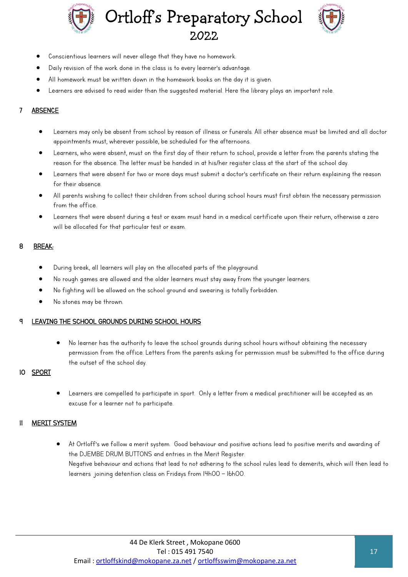



- Conscientious learners will never allege that they have no homework.
- Daily revision of the work done in the class is to every learner's advantage.
- All homework must be written down in the homework books on the day it is given.
- Learners are advised to read wider than the suggested material. Here the library plays an important role.

#### **ABSENCE**

- Learners may only be absent from school by reason of illness or funerals. All other absence must be limited and all doctor appointments must, wherever possible, be scheduled for the afternoons.
- Learners, who were absent, must on the first day of their return to school, provide a letter from the parents stating the reason for the absence. The letter must be handed in at his/her register class at the start of the school day.
- Learners that were absent for two or more days must submit a doctor's certificate on their return explaining the reason for their absence.
- All parents wishing to collect their children from school during school hours must first obtain the necessary permission from the office.
- Learners that were absent during a test or exam must hand in a medical certificate upon their return, otherwise a zero will be allocated for that particular test or exam.

#### 8 BREAK:

- During break, all learners will play on the allocated parts of the playground.
- No rough games are allowed and the older learners must stay away from the younger learners.
- No fighting will be allowed on the school ground and swearing is totally forbidden.
- No stones may be thrown.

#### LEAVING THE SCHOOL GROUNDS DURING SCHOOL HOURS

 No learner has the authority to leave the school grounds during school hours without obtaining the necessary permission from the office. Letters from the parents asking for permission must be submitted to the office during the outset of the school day.

#### 10 SPORT

 Learners are compelled to participate in sport. Only a letter from a medical practitioner will be accepted as an excuse for a learner not to participate.

#### 11 MERIT SYSTEM

At Ortloff's we follow a merit system. Good behaviour and positive actions lead to positive merits and awarding of the DJEMBE DRUM BUTTONS and entries in the Merit Register. Negative behaviour and actions that lead to not adhering to the school rules lead to demerits, which will then lead to learners joining detention class on Fridays from 14h00 – 16h00.